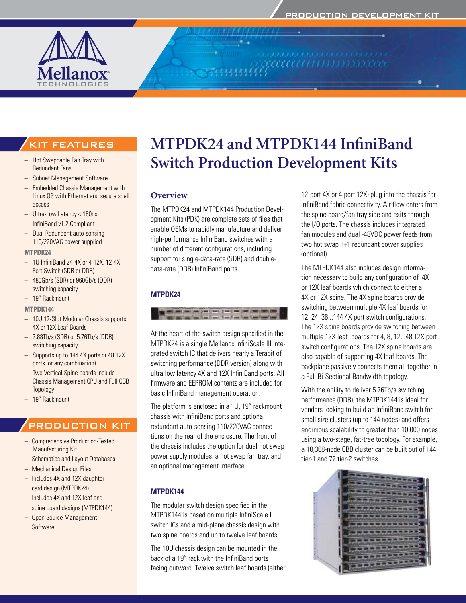

# **MTPDK24 and MTPDK144 InfiniBand Switch Production Development Kits**

### **Overview**

The MTPDK24 and MTPDK144 Production Development Kits (PDK) are complete sets of files that enable OEMs to rapidly manufacture and deliver high-performance InfiniBand switches with a number of different configurations, including support for single-data-rate (SDR) and doubledata-rate (DDR) InfiniBand ports.

### **MTPDK24**



At the heart of the switch design specified in the MTPDK24 is a single Mellanox InfiniScale III integrated switch IC that delivers nearly a Terabit of switching performance (DDR version) along with ultra low latency 4X and 12X InfiniBand ports. All firmware and EEPROM contents are included for basic InfiniBand management operation.

The platform is enclosed in a 1U, 19" rackmount chassis with InfiniBand ports and optional redundant auto-sensing 110/220VAC connections on the rear of the enclosure. The front of the chassis includes the option for dual hot swap power supply modules, a hot swap fan tray, and an optional management interface.

### **MTPDK144**

The modular switch design specified in the MTPDK144 is based on multiple InfiniScale III switch ICs and a mid-plane chassis design with two spine boards and up to twelve leaf boards.

The 10U chassis design can be mounted in the back of a 19" rack with the InfiniBand ports facing outward. Twelve switch leaf boards (either 12-port 4X or 4-port 12X) plug into the chassis for InfiniBand fabric connectivity. Air flow enters from the spine board/fan tray side and exits through the I/O ports. The chassis includes integrated fan modules and dual -48VDC power feeds from two hot swap 1+1 redundant power supplies (optional).

The MTPDK144 also includes design information necessary to build any configuration of 4X or 12X leaf boards which connect to either a 4X or 12X spine. The 4X spine boards provide switching between multiple 4X leaf boards for 12, 24, 36...144 4X port switch configurations. The 12X spine boards provide switching between multiple 12X leaf boards for 4, 8, 12...48 12X port switch configurations. The 12X spine boards are also capable of supporting 4X leaf boards. The backplane passively connects them all together in a Full Bi-Sectional Bandwidth topology.

With the ability to deliver 5.76Tb/s switching performance (DDR), the MTPDK144 is ideal for vendors looking to build an InfiniBand switch for small size clusters (up to 144 nodes) and offers enormous scalability to greater than 10,000 nodes using a two-stage, fat-tree topology. For example, a 10,368-node CBB cluster can be built out of 144 tier-1 and 72 tier-2 switches.



# KIT FEATURES

- Hot Swappable Fan Tray with Redundant Fans
- Subnet Management Software
- – Embedded Chassis Management with Linux OS with Ethernet and secure shell access
- – Ultra-Low Latency < 180ns
- – InfiniBand v1.2 Compliant
- Dual Redundent auto-sensing 110/220VAC power supplied

#### **MTPDK24**

- – 1U InfiniBand 24-4X or 4-12X, 12-4X Port Switch (SDR or DDR)
- – 480Gb/s (SDR) or 960Gb/s (DDR) switching capacity
- 19" Rackmount

#### **MTPDK144**

- – 10U 12-Slot Modular Chassis supports 4X or 12X Leaf Boards
- 2.88Tb/s (SDR) or 5.76Tb/s (DDR) switching capacity
- Supports up to 144 4X ports or 48 12X ports (or any combination)
- – Two Vertical Spine boards include Chassis Management CPU and Full CBB Topology
- – 19" Rackmount

# PRODUCTION KIT

- – Comprehensive Production-Tested Manufacturing Kit
- Schematics and Layout Databases
- **Mechanical Design Files**
- Includes 4X and 12X daughter card design (MTPDK24)
- Includes 4X and 12X leaf and spine board designs (MTPDK144)
- – Open Source Management Software